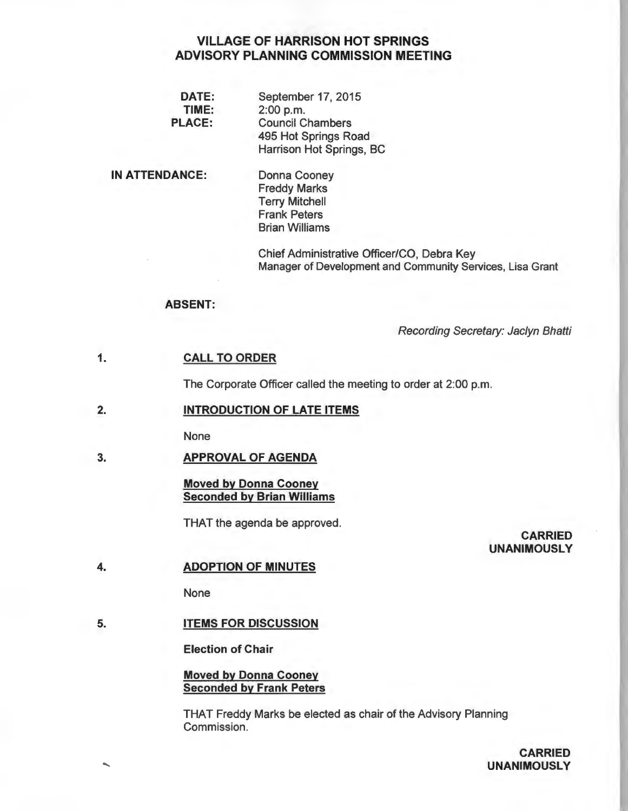# VILLAGE OF HARRISON HOT SPRINGS ADVISORY PLANNING COMMISSION MEETING

| September 17, 2015       |
|--------------------------|
| 2:00 p.m.                |
| <b>Council Chambers</b>  |
| 495 Hot Springs Road     |
| Harrison Hot Springs, BC |
|                          |

# IN ATTENDANCE:

Donna Cooney Freddy Marks Terry Mitchell Frank Peters Brian Williams

Chief Administrative Officer/CO, Debra Key Manager of Development and Community Services, Lisa Grant

# ABSENT:

Recording Secretary: Jaclyn Bhatti

#### 1. CALL TO ORDER

The Corporate Officer called the meeting to order at 2:00 p.m.

#### 2. INTRODUCTION OF LATE ITEMS

None

#### 3. APPROVAL OF AGENDA

# Moved by Donna Cooney Seconded by Brian Williams

THAT the agenda be approved.

# CARRIED UNANIMOUSLY

#### 4. ADOPTION OF MINUTES

None

#### 5. **ITEMS FOR DISCUSSION**

Election of Chair

# Moved by Donna Cooney Seconded by Frank Peters

THAT Freddy Marks be elected as chair of the Advisory Planning Commission.

> CARRIED UNANIMOUSLY